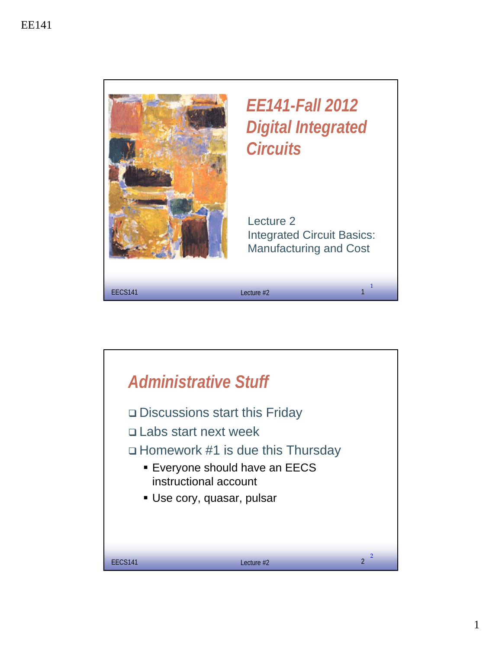

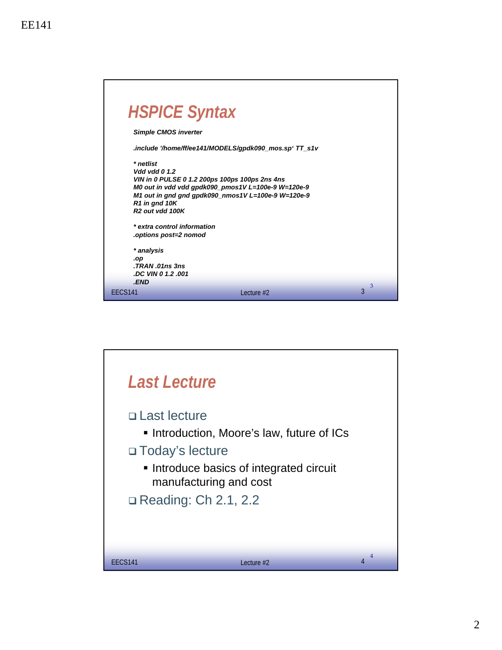| <b>HSPICE Syntax</b>                                                                                                                                                                 |                                                                                                          |        |
|--------------------------------------------------------------------------------------------------------------------------------------------------------------------------------------|----------------------------------------------------------------------------------------------------------|--------|
| <b>Simple CMOS inverter</b>                                                                                                                                                          |                                                                                                          |        |
| .include '/home/ff/ee141/MODELS/gpdk090_mos.sp'TT_s1v                                                                                                                                |                                                                                                          |        |
| * netlist<br>Vdd vdd 0 1.2<br>VIN in 0 PULSE 0 1.2 200ps 100ps 100ps 2ns 4ns<br>R1 in gnd 10K<br>R <sub>2</sub> out vdd 100K<br>* extra control information<br>options post=2 nomod. | M0 out in vdd vdd gpdk090_pmos1V L=100e-9 W=120e-9<br>M1 out in gnd gnd gpdk090_nmos1V L=100e-9 W=120e-9 |        |
| * analysis<br>.op<br>TRAN .01ns 3ns                                                                                                                                                  |                                                                                                          |        |
| .DC VIN 0 1.2 .001<br><b>END</b>                                                                                                                                                     |                                                                                                          |        |
| EECS <sub>141</sub>                                                                                                                                                                  | $l$ ecture $#2$                                                                                          | 3<br>3 |

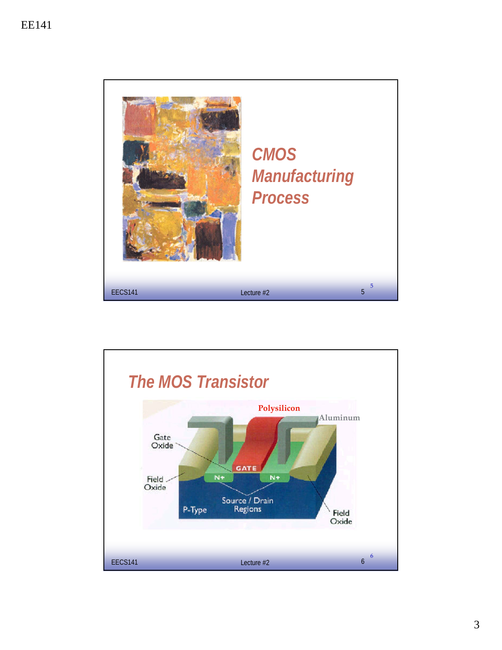

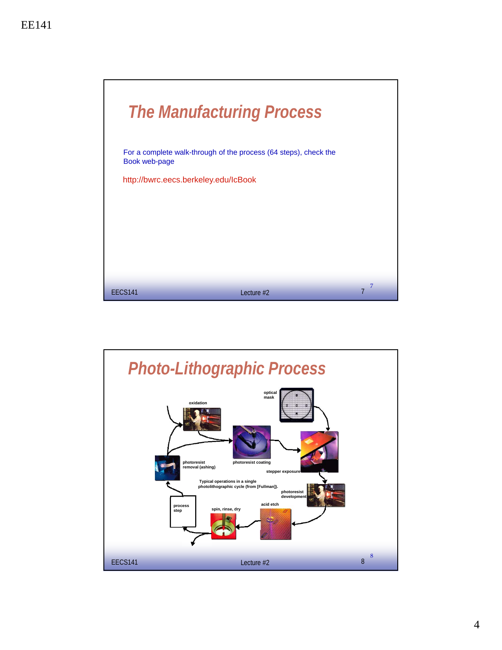

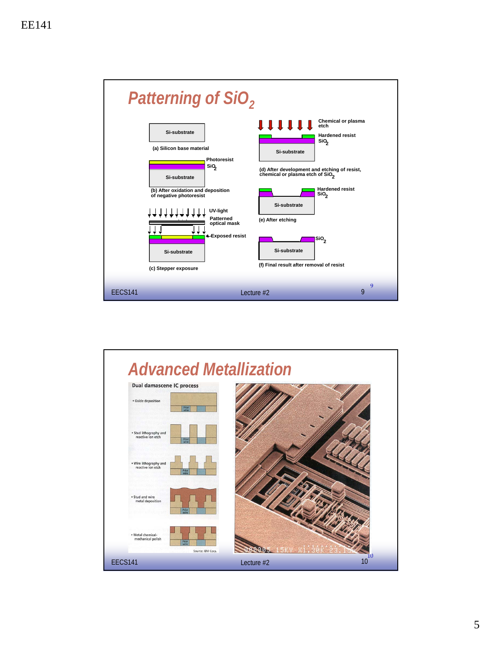

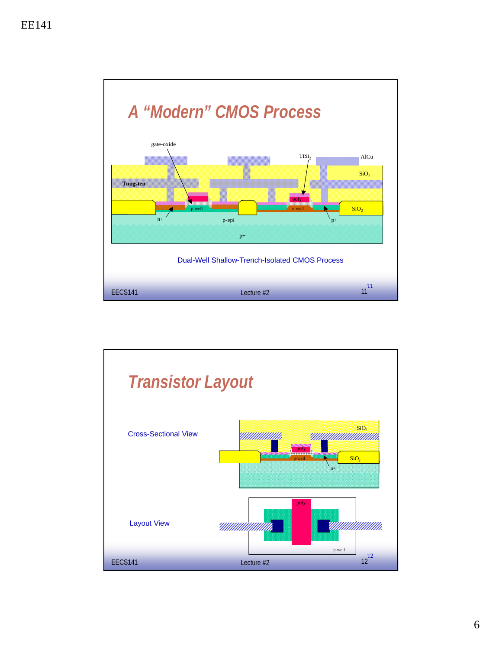

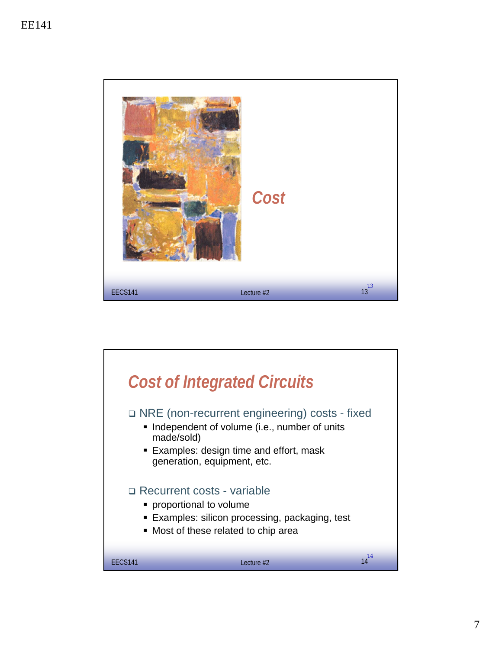

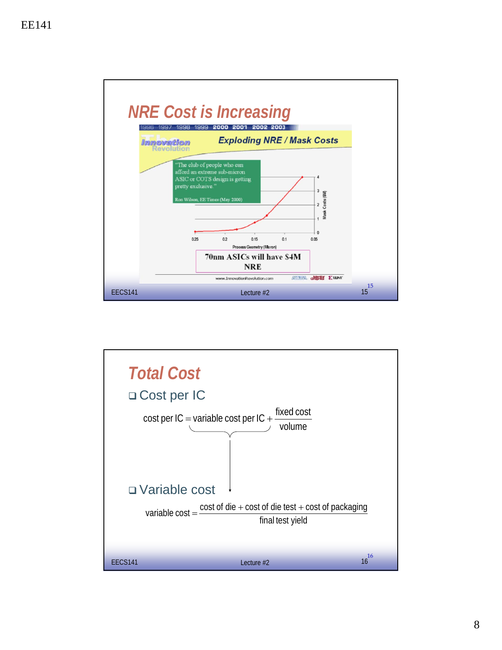

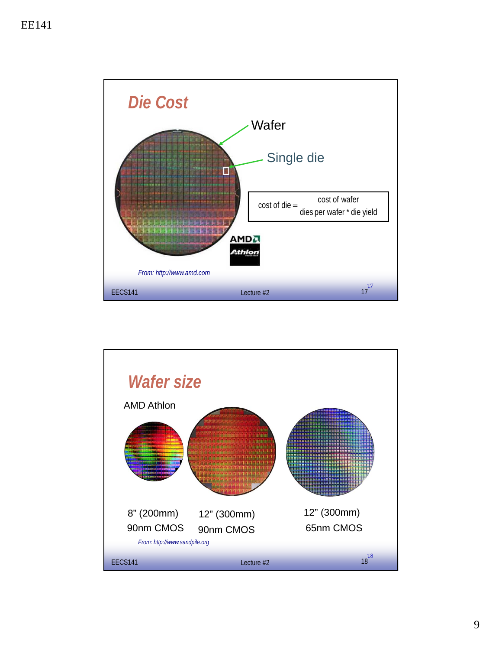

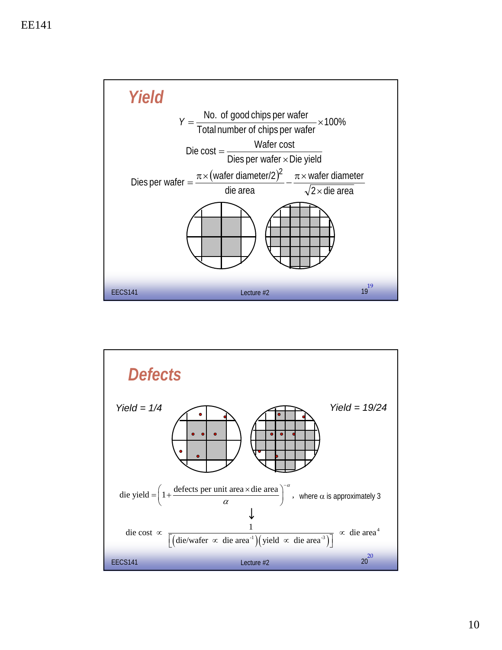